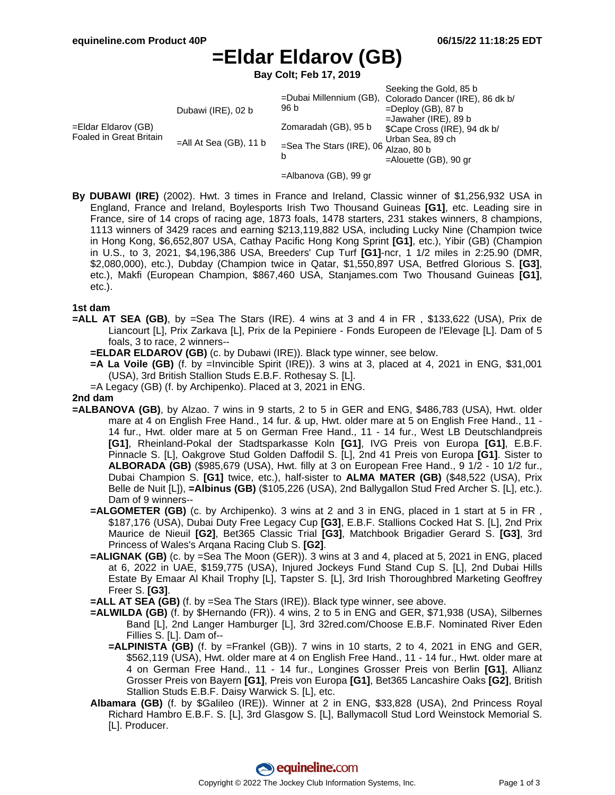# **=Eldar Eldarov (GB)**

**Bay Colt; Feb 17, 2019**

|                                                |                           |                                                     | Seeking the Gold, 85 b                                  |
|------------------------------------------------|---------------------------|-----------------------------------------------------|---------------------------------------------------------|
| =Eldar Eldarov (GB)<br>Foaled in Great Britain | Dubawi (IRE), 02 b        | 96 b                                                | =Dubai Millennium (GB), Colorado Dancer (IRE), 86 dk b/ |
|                                                |                           |                                                     | $=$ Deploy (GB), 87 b                                   |
|                                                | $=$ All At Sea (GB), 11 b | Zomaradah (GB), 95 b                                | $=$ Jawaher (IRE), 89 b                                 |
|                                                |                           |                                                     | \$Cape Cross (IRE), 94 dk b/                            |
|                                                |                           | =Sea The Stars (IRE), 06 $\overline{A}$ Alzao, 80 b | Urban Sea, 89 ch                                        |
|                                                |                           |                                                     |                                                         |
|                                                |                           |                                                     | $=$ Alouette (GB), 90 gr                                |
|                                                |                           |                                                     |                                                         |

- =Albanova (GB), 99 gr
- **By DUBAWI (IRE)** (2002). Hwt. 3 times in France and Ireland, Classic winner of \$1,256,932 USA in England, France and Ireland, Boylesports Irish Two Thousand Guineas **[G1]**, etc. Leading sire in France, sire of 14 crops of racing age, 1873 foals, 1478 starters, 231 stakes winners, 8 champions, 1113 winners of 3429 races and earning \$213,119,882 USA, including Lucky Nine (Champion twice in Hong Kong, \$6,652,807 USA, Cathay Pacific Hong Kong Sprint **[G1]**, etc.), Yibir (GB) (Champion in U.S., to 3, 2021, \$4,196,386 USA, Breeders' Cup Turf **[G1]**-ncr, 1 1/2 miles in 2:25.90 (DMR, \$2,080,000), etc.), Dubday (Champion twice in Qatar, \$1,550,897 USA, Betfred Glorious S. **[G3]**, etc.), Makfi (European Champion, \$867,460 USA, Stanjames.com Two Thousand Guineas **[G1]**, etc.).

#### **1st dam**

- **=ALL AT SEA (GB)**, by =Sea The Stars (IRE). 4 wins at 3 and 4 in FR , \$133,622 (USA), Prix de Liancourt [L], Prix Zarkava [L], Prix de la Pepiniere - Fonds Europeen de l'Elevage [L]. Dam of 5 foals, 3 to race, 2 winners--
	- **=ELDAR ELDAROV (GB)** (c. by Dubawi (IRE)). Black type winner, see below.
	- **=A La Voile (GB)** (f. by =Invincible Spirit (IRE)). 3 wins at 3, placed at 4, 2021 in ENG, \$31,001 (USA), 3rd British Stallion Studs E.B.F. Rothesay S. [L].
	- =A Legacy (GB) (f. by Archipenko). Placed at 3, 2021 in ENG.

### **2nd dam**

- **=ALBANOVA (GB)**, by Alzao. 7 wins in 9 starts, 2 to 5 in GER and ENG, \$486,783 (USA), Hwt. older mare at 4 on English Free Hand., 14 fur. & up, Hwt. older mare at 5 on English Free Hand., 11 - 14 fur., Hwt. older mare at 5 on German Free Hand., 11 - 14 fur., West LB Deutschlandpreis **[G1]**, Rheinland-Pokal der Stadtsparkasse Koln **[G1]**, IVG Preis von Europa **[G1]**, E.B.F. Pinnacle S. [L], Oakgrove Stud Golden Daffodil S. [L], 2nd 41 Preis von Europa **[G1]**. Sister to **ALBORADA (GB)** (\$985,679 (USA), Hwt. filly at 3 on European Free Hand., 9 1/2 - 10 1/2 fur., Dubai Champion S. **[G1]** twice, etc.), half-sister to **ALMA MATER (GB)** (\$48,522 (USA), Prix Belle de Nuit [L]), **=Albinus (GB)** (\$105,226 (USA), 2nd Ballygallon Stud Fred Archer S. [L], etc.). Dam of 9 winners--
	- **=ALGOMETER (GB)** (c. by Archipenko). 3 wins at 2 and 3 in ENG, placed in 1 start at 5 in FR , \$187,176 (USA), Dubai Duty Free Legacy Cup **[G3]**, E.B.F. Stallions Cocked Hat S. [L], 2nd Prix Maurice de Nieuil **[G2]**, Bet365 Classic Trial **[G3]**, Matchbook Brigadier Gerard S. **[G3]**, 3rd Princess of Wales's Arqana Racing Club S. **[G2]**.
	- **=ALIGNAK (GB)** (c. by =Sea The Moon (GER)). 3 wins at 3 and 4, placed at 5, 2021 in ENG, placed at 6, 2022 in UAE, \$159,775 (USA), Injured Jockeys Fund Stand Cup S. [L], 2nd Dubai Hills Estate By Emaar Al Khail Trophy [L], Tapster S. [L], 3rd Irish Thoroughbred Marketing Geoffrey Freer S. **[G3]**.
	- **=ALL AT SEA (GB)** (f. by =Sea The Stars (IRE)). Black type winner, see above.
	- **=ALWILDA (GB)** (f. by \$Hernando (FR)). 4 wins, 2 to 5 in ENG and GER, \$71,938 (USA), Silbernes Band [L], 2nd Langer Hamburger [L], 3rd 32red.com/Choose E.B.F. Nominated River Eden Fillies S. [L]. Dam of--
		- **=ALPINISTA (GB)** (f. by =Frankel (GB)). 7 wins in 10 starts, 2 to 4, 2021 in ENG and GER, \$562,119 (USA), Hwt. older mare at 4 on English Free Hand., 11 - 14 fur., Hwt. older mare at 4 on German Free Hand., 11 - 14 fur., Longines Grosser Preis von Berlin **[G1]**, Allianz Grosser Preis von Bayern **[G1]**, Preis von Europa **[G1]**, Bet365 Lancashire Oaks **[G2]**, British Stallion Studs E.B.F. Daisy Warwick S. [L], etc.
	- **Albamara (GB)** (f. by \$Galileo (IRE)). Winner at 2 in ENG, \$33,828 (USA), 2nd Princess Royal Richard Hambro E.B.F. S. [L], 3rd Glasgow S. [L], Ballymacoll Stud Lord Weinstock Memorial S. [L]. Producer.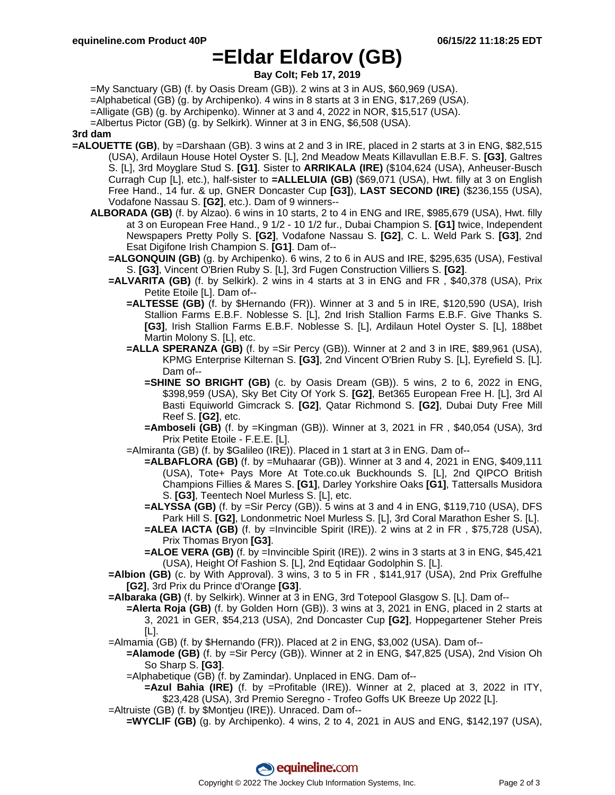## **=Eldar Eldarov (GB)**

**Bay Colt; Feb 17, 2019**

=My Sanctuary (GB) (f. by Oasis Dream (GB)). 2 wins at 3 in AUS, \$60,969 (USA).

=Alphabetical (GB) (g. by Archipenko). 4 wins in 8 starts at 3 in ENG, \$17,269 (USA).

=Alligate (GB) (g. by Archipenko). Winner at 3 and 4, 2022 in NOR, \$15,517 (USA).

=Albertus Pictor (GB) (g. by Selkirk). Winner at 3 in ENG, \$6,508 (USA).

### **3rd dam**

- **=ALOUETTE (GB)**, by =Darshaan (GB). 3 wins at 2 and 3 in IRE, placed in 2 starts at 3 in ENG, \$82,515 (USA), Ardilaun House Hotel Oyster S. [L], 2nd Meadow Meats Killavullan E.B.F. S. **[G3]**, Galtres S. [L], 3rd Moyglare Stud S. **[G1]**. Sister to **ARRIKALA (IRE)** (\$104,624 (USA), Anheuser-Busch Curragh Cup [L], etc.), half-sister to **=ALLELUIA (GB)** (\$69,071 (USA), Hwt. filly at 3 on English Free Hand., 14 fur. & up, GNER Doncaster Cup **[G3]**), **LAST SECOND (IRE)** (\$236,155 (USA), Vodafone Nassau S. **[G2]**, etc.). Dam of 9 winners--
	- **ALBORADA (GB)** (f. by Alzao). 6 wins in 10 starts, 2 to 4 in ENG and IRE, \$985,679 (USA), Hwt. filly at 3 on European Free Hand., 9 1/2 - 10 1/2 fur., Dubai Champion S. **[G1]** twice, Independent Newspapers Pretty Polly S. **[G2]**, Vodafone Nassau S. **[G2]**, C. L. Weld Park S. **[G3]**, 2nd Esat Digifone Irish Champion S. **[G1]**. Dam of--
		- **=ALGONQUIN (GB)** (g. by Archipenko). 6 wins, 2 to 6 in AUS and IRE, \$295,635 (USA), Festival S. **[G3]**, Vincent O'Brien Ruby S. [L], 3rd Fugen Construction Villiers S. **[G2]**.
		- **=ALVARITA (GB)** (f. by Selkirk). 2 wins in 4 starts at 3 in ENG and FR , \$40,378 (USA), Prix Petite Etoile [L]. Dam of--
			- **=ALTESSE (GB)** (f. by \$Hernando (FR)). Winner at 3 and 5 in IRE, \$120,590 (USA), Irish Stallion Farms E.B.F. Noblesse S. [L], 2nd Irish Stallion Farms E.B.F. Give Thanks S. **[G3]**, Irish Stallion Farms E.B.F. Noblesse S. [L], Ardilaun Hotel Oyster S. [L], 188bet Martin Molony S. [L], etc.
			- **=ALLA SPERANZA (GB)** (f. by =Sir Percy (GB)). Winner at 2 and 3 in IRE, \$89,961 (USA), KPMG Enterprise Kilternan S. **[G3]**, 2nd Vincent O'Brien Ruby S. [L], Eyrefield S. [L]. Dam of--
				- **=SHINE SO BRIGHT (GB)** (c. by Oasis Dream (GB)). 5 wins, 2 to 6, 2022 in ENG, \$398,959 (USA), Sky Bet City Of York S. **[G2]**, Bet365 European Free H. [L], 3rd Al Basti Equiworld Gimcrack S. **[G2]**, Qatar Richmond S. **[G2]**, Dubai Duty Free Mill Reef S. **[G2]**, etc.
				- **=Amboseli (GB)** (f. by =Kingman (GB)). Winner at 3, 2021 in FR , \$40,054 (USA), 3rd Prix Petite Etoile - F.E.E. [L].
			- =Almiranta (GB) (f. by \$Galileo (IRE)). Placed in 1 start at 3 in ENG. Dam of--
				- **=ALBAFLORA (GB)** (f. by =Muhaarar (GB)). Winner at 3 and 4, 2021 in ENG, \$409,111 (USA), Tote+ Pays More At Tote.co.uk Buckhounds S. [L], 2nd QIPCO British Champions Fillies & Mares S. **[G1]**, Darley Yorkshire Oaks **[G1]**, Tattersalls Musidora S. **[G3]**, Teentech Noel Murless S. [L], etc.
				- **=ALYSSA (GB)** (f. by =Sir Percy (GB)). 5 wins at 3 and 4 in ENG, \$119,710 (USA), DFS Park Hill S. **[G2]**, Londonmetric Noel Murless S. [L], 3rd Coral Marathon Esher S. [L].
				- **=ALEA IACTA (GB)** (f. by =Invincible Spirit (IRE)). 2 wins at 2 in FR , \$75,728 (USA), Prix Thomas Bryon **[G3]**.
				- **=ALOE VERA (GB)** (f. by =Invincible Spirit (IRE)). 2 wins in 3 starts at 3 in ENG, \$45,421 (USA), Height Of Fashion S. [L], 2nd Eqtidaar Godolphin S. [L].

**=Albion (GB)** (c. by With Approval). 3 wins, 3 to 5 in FR , \$141,917 (USA), 2nd Prix Greffulhe **[G2]**, 3rd Prix du Prince d'Orange **[G3]**.

**=Albaraka (GB)** (f. by Selkirk). Winner at 3 in ENG, 3rd Totepool Glasgow S. [L]. Dam of--

- **=Alerta Roja (GB)** (f. by Golden Horn (GB)). 3 wins at 3, 2021 in ENG, placed in 2 starts at 3, 2021 in GER, \$54,213 (USA), 2nd Doncaster Cup **[G2]**, Hoppegartener Steher Preis  $[L]$ .
- =Almamia (GB) (f. by \$Hernando (FR)). Placed at 2 in ENG, \$3,002 (USA). Dam of--
	- **=Alamode (GB)** (f. by =Sir Percy (GB)). Winner at 2 in ENG, \$47,825 (USA), 2nd Vision Oh So Sharp S. **[G3]**.
		- =Alphabetique (GB) (f. by Zamindar). Unplaced in ENG. Dam of--
			- **=Azul Bahia (IRE)** (f. by =Profitable (IRE)). Winner at 2, placed at 3, 2022 in ITY, \$23,428 (USA), 3rd Premio Seregno - Trofeo Goffs UK Breeze Up 2022 [L].
- =Altruiste (GB) (f. by \$Montjeu (IRE)). Unraced. Dam of--
	- **=WYCLIF (GB)** (g. by Archipenko). 4 wins, 2 to 4, 2021 in AUS and ENG, \$142,197 (USA),